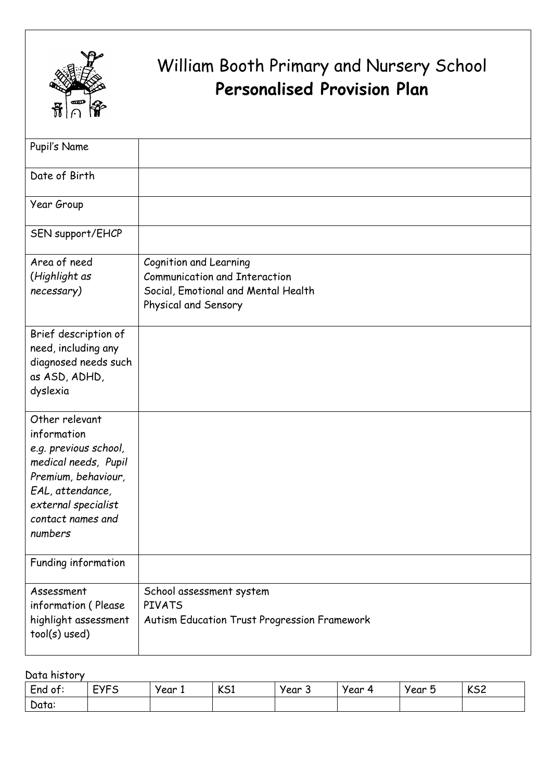

## William Booth Primary and Nursery School **Personalised Provision Plan**

| Pupil's Name                                                                                                                                                                     |                                                                                                                               |
|----------------------------------------------------------------------------------------------------------------------------------------------------------------------------------|-------------------------------------------------------------------------------------------------------------------------------|
| Date of Birth                                                                                                                                                                    |                                                                                                                               |
| Year Group                                                                                                                                                                       |                                                                                                                               |
| SEN support/EHCP                                                                                                                                                                 |                                                                                                                               |
| Area of need<br>(Highlight as<br>necessary)                                                                                                                                      | Cognition and Learning<br><b>Communication and Interaction</b><br>Social, Emotional and Mental Health<br>Physical and Sensory |
| Brief description of<br>need, including any<br>diagnosed needs such<br>as ASD, ADHD,<br>dyslexia                                                                                 |                                                                                                                               |
| Other relevant<br>information<br>e.g. previous school,<br>medical needs, Pupil<br>Premium, behaviour,<br>EAL, attendance,<br>external specialist<br>contact names and<br>numbers |                                                                                                                               |
| Funding information                                                                                                                                                              |                                                                                                                               |
| Assessment<br>information (Please<br>highlight assessment<br>tool(s) used)                                                                                                       | School assessment system<br><b>PIVATS</b><br>Autism Education Trust Progression Framework                                     |

Data history

| -<br>End of: | <b>EVEC</b><br>ٮ | year<br>. . | 1/c <sub>1</sub><br>ົັບມ | year<br>◡ | Year<br>$\mathbf{r}$ | -<br>year<br>ັ | レヒつ<br>いつく |
|--------------|------------------|-------------|--------------------------|-----------|----------------------|----------------|------------|
| N<br>Data:   |                  |             |                          |           |                      |                |            |